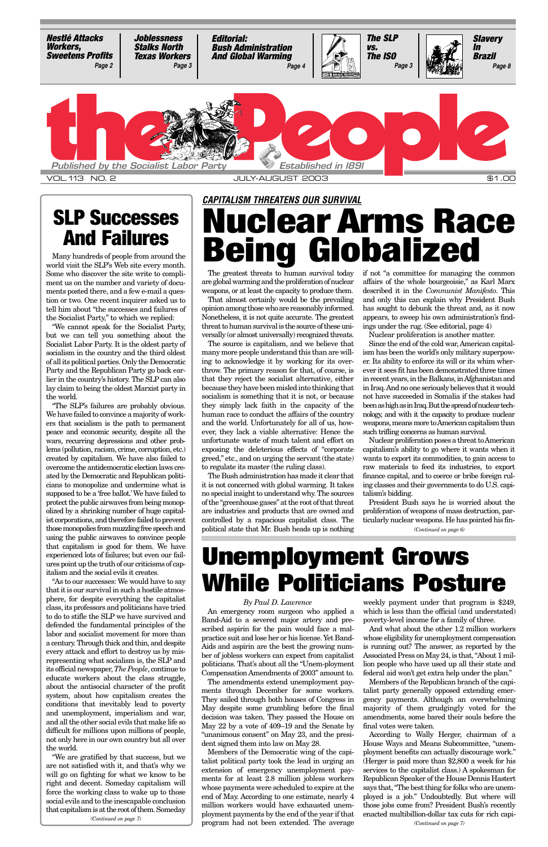The greatest threats to human survival today are global warming and the proliferation of nuclear weapons, or at least the capacity to produce them.

That almost certainly would be the prevailing opinion among those who are reasonably informed. Nonetheless, it is not quite accurate. The greatest threat to human survival is the source of these universally (or almost universally) recognized threats.

The source is capitalism, and we believe that many more people understand this than are willing to acknowledge it by working for its overthrow. The primary reason for that, of course, is that they reject the socialist alternative, either because they have been misled into thinking that socialism is something that it is not, or because they simply lack faith in the capacity of the human race to conduct the affairs of the country and the world. Unfortunately for all of us, however, they lack a viable alternative: Hence the unfortunate waste of much talent and effort on exposing the deleterious effects of "corporate greed," etc., and on urging the servant (the state) to regulate its master (the ruling class).

The Bush administration has made it clear that it is not concerned with global warming. It takes no special insight to understand why. The sources of the "greenhouse gases" at the root of that threat are industries and products that are owned and controlled by a rapacious capitalist class. The political state that Mr. Bush heads up is nothing

## *CAPITALISM THREATENS OUR SURVIVAL* **Nuclear Arms Race ANU FAILUTES Being Globalized**

if not "a committee for managing the common affairs of the whole bourgeoisie," as Karl Marx described it in the *Communist Manifesto*. This and only this can explain why President Bush has sought to debunk the threat and, as it now appears, to sweep his own administration's findings under the rug. (See editorial, page 4)

Nuclear proliferation is another matter.

Since the end of the cold war, American capitalism has been the world's only military superpower. Its ability to enforce its will or its whim wherever it sees fit has been demonstrated three times in recent years, in the Balkans, in Afghanistan and in Iraq. And no one seriously believes that it would not have succeeded in Somalia if the stakes had been as high as in Iraq. But the spread of nuclear technology, and with it the capacity to produce nuclear weapons, means more to American capitalism than such trifling concerns as human survival.

Nuclear proliferation poses a threat to American capitalism's ability to go where it wants when it wants to export its commodities, to gain access to raw materials to feed its industries, to export finance capital, and to coerce or bribe foreign ruling classes and their governments to do U.S. capitalism's bidding.

world visit the SLP's Web site every month. Some who discover the site write to compliment us on the number and variety of documents posted there, and a few e-mail a question or two. One recent inquirer asked us to tell him about "the successes and failures of the Socialist Party," to which we replied:

"We cannot speak for the Socialist Party, but we can tell you something about the Socialist Labor Party. It is the oldest party of socialism in the country and the third oldest of all its political parties. Only the Democratic Party and the Republican Party go back earlier in the country's history. The SLP can also lay claim to being the oldest Marxist party in the world.

"The SLP's failures are probably obvious. We have failed to convince a majority of workers that socialism is the path to permanent peace and economic security, despite all the wars, recurring depressions and other problems (pollution, racism, crime, corruption, etc.) created by capitalism. We have also failed to overcome the antidemocratic election laws created by the Democratic and Republican politicians to monopolize and undermine what is supposed to be a 'free ballot.'We have failed to protect the public airwaves from being monopolized by a shrinking number of huge capitalist corporations, and therefore failed to prevent those monopolies from muzzling free speech and using the public airwaves to convince people that capitalism is good for them. We have experienced lots of failures; but even our failures point up the truth of our criticisms of capitalism and the social evils it creates.

President Bush says he is worried about the proliferation of weapons of mass destruction, particularly nuclear weapons. He has pointed his fin-*(Continued on page 6)*

<span id="page-0-0"></span>

### **SLP Successes And Failures**

# **Unemployment Grows While Politicians Posture**

### *By Paul D. Lawrence*

Band-Aid to a severed major artery and pre-poverty-level income for a family of three. scribed aspirin for the pain would face a malpractice suit and lose her or his license. Yet Band-Aids and aspirin are the best the growing number of jobless workers can expect from capitalist politicians. That's about all the "Unem-ployment Compensation Amendments of 2003" amount to. The amendments extend unemployment payments through December for some workers. They sailed through both houses of Congress in May despite some grumbling before the final decision was taken. They passed the House on May 22 by a vote of 409–19 and the Senate by "unanimous consent" on May 23, and the president signed them into law on May 28. Members of the Democratic wing of the capitalist political party took the lead in urging an extension of emergency unemployment payments for at least 2.8 million jobless workers whose payments were scheduled to expire at the end of May. According to one estimate, nearly 4 million workers would have exhausted unemployment payments by the end of the year if that program had not been extended. The average

An emergency room surgeon who applied a which is less than the official (and understated) weekly payment under that program is \$249,

"As to our successes: We would have to say that it is our survival in such a hostile atmosphere, for despite everything the capitalist class, its professors and politicians have tried to do to stifle the SLP we have survived and defended the fundamental principles of the labor and socialist movement for more than a century. Through thick and thin, and despite every attack and effort to destroy us by misrepresenting what socialism is, the SLP and its official newspaper, *The People*, continue to educate workers about the class struggle, about the antisocial character of the profit system, about how capitalism creates the conditions that inevitably lead to poverty and unemployment, imperialism and war, and all the other social evils that make life so difficult for millions upon millions of people, not only here in our own country but all over the world. "We are gratified by that success, but we are not satisfied with it, and that's why we will go on fighting for what we know to be right and decent. Someday capitalism will force the working class to wake up to those social evils and to the inescapable conclusion that capitalism is at the root of them. Someday *(Continued on page 7)*

And what about the other 1.2 million workers whose eligibility for unemployment compensation is running out? The answer, as reported by the Associated Press on May 24, is that, "About 1 million people who have used up all their state and federal aid won't get extra help under the plan."

Members of the Republican branch of the capitalist party generally opposed extending emergency payments. Although an overwhelming majority of them grudgingly voted for the amendments, some bared their souls before the final votes were taken.

According to Wally Herger, chairman of a House Ways and Means Subcommittee, "unemployment benefits can actually discourage work." (Herger is paid more than \$2,800 a week for his services to the capitalist class.) A spokesman for Republican Speaker of the House Dennis Hastert says that, "The best thing for folks who are unemployed is a job." Undoubtedly. But where will those jobs come from? President Bush's recently enacted multibillion-dollar tax cuts for rich capi-

*(Continued on page 7)*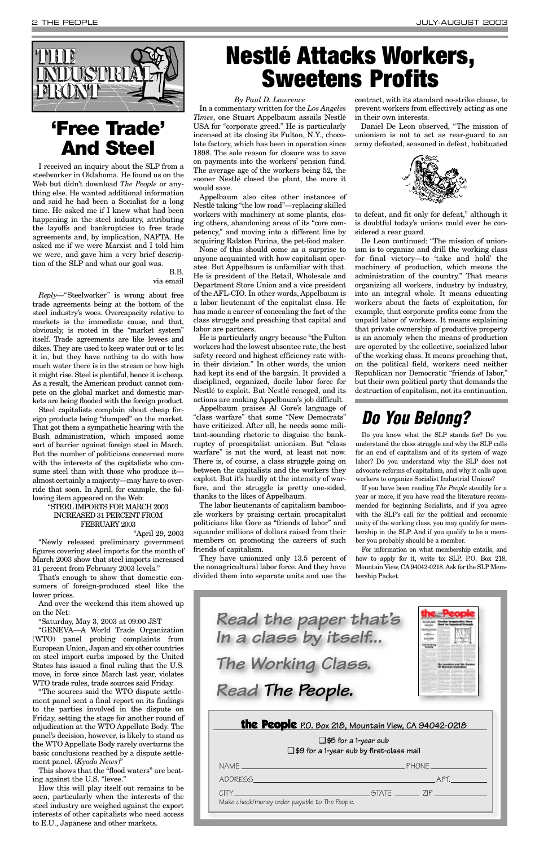#### *By Paul D. Lawrence*

In a commentary written for the *Los Angeles Times*, one Stuart Appelbaum assails Nestlé USA for "corporate greed." He is particularly incensed at its closing its Fulton, N.Y., chocolate factory, which has been in operation since 1898. The sole reason for closure was to save on payments into the workers' pension fund. The average age of the workers being 52, the sooner Nestlé closed the plant, the more it would save.

Appelbaum also cites other instances of Nestlé taking "the low road"—replacing skilled workers with machinery at some plants, closing others, abandoning areas of its "core competency," and moving into a different line by acquiring Ralston Purina, the pet-food maker.

None of this should come as a surprise to anyone acquainted with how capitalism operates. But Appelbaum is unfamiliar with that. He is president of the Retail, Wholesale and Department Store Union and a vice president of the AFL-CIO. In other words, Appelbaum is a labor lieutenant of the capitalist class. He has made a career of concealing the fact of the class struggle and preaching that capital and labor are partners.

He is particularly angry because "the Fulton workers had the lowest absentee rate, the best safety record and highest efficiency rate within their division." In other words, the union had kept its end of the bargain. It provided a disciplined, organized, docile labor force for Nestlé to exploit. But Nestlé reneged, and its actions are making Appelbaum's job difficult.

Appelbaum praises Al Gore's language of "class warfare" that some "New Democrats" have criticized. After all, he needs some militant-sounding rhetoric to disguise the bankruptcy of procapitalist unionism. But "class warfare" is not the word, at least not now. There is, of course, a class struggle going on between the capitalists and the workers they exploit. But it's hardly at the intensity of warfare, and the struggle is pretty one-sided, thanks to the likes of Appelbaum.

The labor lieutenants of capitalism bamboozle workers by praising certain procapitalist politicians like Gore as "friends of labor" and squander millions of dollars raised from their members on promoting the careers of such friends of capitalism.

They have unionized only 13.5 percent of the nonagricultural labor force. And they have divided them into separate units and use the

contract, with its standard no-strike clause, to prevent workers from effectively acting as one in their own interests.

Daniel De Leon observed, "The mission of unionism is not to act as rear-guard to an army defeated, seasoned in defeat, habituated



to defeat, and fit only for defeat," although it is doubtful today's unions could ever be considered a rear guard.

De Leon continued: "The mission of unionism is to organize and drill the working class for final victory—to 'take and hold' the machinery of production, which means the administration of the country." That means organizing all workers, industry by industry, into an integral whole. It means educating workers about the facts of exploitation, for example, that corporate profits come from the unpaid labor of workers. It means explaining that private ownership of productive property is an anomaly when the means of production are operated by the collective, socialized labor of the working class. It means preaching that, on the political field, workers need neither Republican nor Democratic "friends of labor," but their own political party that demands the destruction of capitalism, not its continuation.

<span id="page-1-0"></span>

### **'Free Trade' And Steel**

I received an inquiry about the SLP from a steelworker in Oklahoma. He found us on the Web but didn't download *The People* or anything else. He wanted additional information and said he had been a Socialist for a long time. He asked me if I knew what had been happening in the steel industry, attributing the layoffs and bankruptcies to free trade agreements and, by implication, NAFTA. He asked me if we were Marxist and I told him we were, and gave him a very brief description of the SLP and what our goal was.

> B.B. via email

*Reply*—"Steelworker" is wrong about free trade agreements being at the bottom of the steel industry's woes. Overcapacity relative to markets is the immediate cause, and that, obviously, is rooted in the "market system" itself. Trade agreements are like levees and dikes. They are used to keep water out or to let it in, but they have nothing to do with how much water there is in the stream or how high it might rise. Steel is plentiful, hence it is cheap. As a result, the American product cannot compete on the global market and domestic markets are being flooded with the foreign product.

Steel capitalists complain about cheap foreign products being "dumped" on the market. That got them a sympathetic hearing with the Bush administration, which imposed some sort of barrier against foreign steel in March. But the number of politicians concerned more with the interests of the capitalists who consume steel than with those who produce it almost certainly a majority—may have to override that soon. In April, for example, the following item appeared on the Web:

### "STEEL IMPORTS FOR MARCH 2003 INCREASED 31 PERCENT FROM FEBRUARY 2003

"April 29, 2003

"Newly released preliminary government figures covering steel imports for the month of March 2003 show that steel imports increased 31 percent from February 2003 levels."

That's enough to show that domestic consumers of foreign-produced steel like the lower prices.

And over the weekend this item showed up on the Net:

"Saturday, May 3, 2003 at 09:00 JST

"GENEVA—A World Trade Organization (WTO) panel probing complaints from European Union, Japan and six other countries on steel import curbs imposed by the United States has issued a final ruling that the U.S. move, in force since March last year, violates WTO trade rules, trade sources said Friday.

"The sources said the WTO dispute settlement panel sent a final report on its findings to the parties involved in the dispute on Friday, setting the stage for another round of adjudication at the WTO Appellate Body. The panel's decision, however, is likely to stand as the WTO Appellate Body rarely overturns the basic conclusions reached by a dispute settlement panel. (*Kyodo News*)"

This shows that the "flood waters" are beating against the U.S. "levee."

How this will play itself out remains to be seen, particularly when the interests of the steel industry are weighed against the export interests of other capitalists who need access to E.U., Japanese and other markets.

# **Nestlé Attacks Workers, Sweetens Profits**

### *Do You Belong?*

Do you know what the SLP stands for? Do you understand the class struggle and why the SLP calls for an end of capitalism and of its system of wage labor? Do you understand why the SLP does not advocate reforms of capitalism, and why it calls upon workers to organize Socialist Industrial Unions?

If you have been reading *The People* steadily for a year or more, if you have read the literature recommended for beginning Socialists, and if you agree with the SLP's call for the political and economic unity of the working class, you may qualify for membership in the SLP. And if you qualify to be a member you probably should be a member.

For information on what membership entails, and how to apply for it, write to: SLP, P.O. Box 218, Mountain View, CA94042-0218. Ask for the SLP Membership Packet.

the People **P.O. Box 218, Mountain View, CA 94042-0218**

❑ **\$5 for a 1-year sub** ❑ **\$9 for a 1-year sub by first-class mail**

| <u>NAME __________________________________</u>               | PHONE |  |
|--------------------------------------------------------------|-------|--|
|                                                              |       |  |
| $C\Gamma Y$<br>Make check/money order payable to The People. |       |  |
|                                                              |       |  |



*In a class by itself... The Working Class.*

*Read The People.*

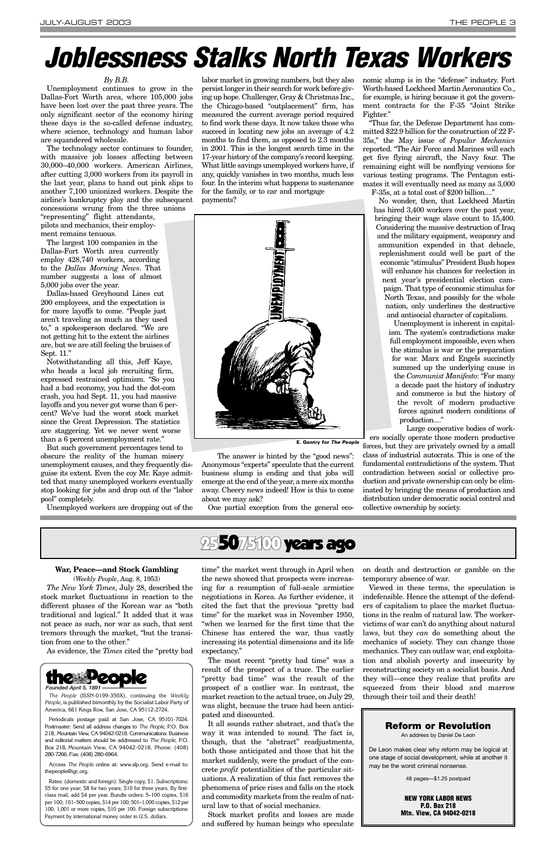### *By B.B.*

Unemployment continues to grow in the Dallas-Fort Worth area, where 105,000 jobs have been lost over the past three years. The only significant sector of the economy hiring these days is the so-called defense industry, where science, technology and human labor are squandered wholesale.

The technology sector continues to founder, with massive job losses affecting between 30,000–40,000 workers. American Airlines, after cutting 3,000 workers from its payroll in the last year, plans to hand out pink slips to another 7,100 unionized workers. Despite the airline's bankruptcy ploy and the subsequent concessions wrung from the three unions

"representing" flight attendants, pilots and mechanics, their employment remains tenuous.

The largest 100 companies in the Dallas-Fort Worth area currently employ 428,740 workers, according to the *Dallas Morning News*. That number suggests a loss of almost 5,000 jobs over the year.

Dallas-based Greyhound Lines cut 200 employees, and the expectation is for more layoffs to come. "People just aren't traveling as much as they used to," a spokesperson declared. "We are not getting hit to the extent the airlines are, but we are still feeling the bruises of Sept. 11."

Notwithstanding all this, Jeff Kaye, who heads a local job recruiting firm, expressed restrained optimism. "So you had a bad economy, you had the dot-com crash, you had Sept. 11, you had massive layoffs and you never got worse than 6 percent? We've had the worst stock market since the Great Depression. The statistics are staggering. Yet we never went worse than a 6 percent unemployment rate."

But such government percentages tend to obscure the reality of the human misery unemployment causes, and they frequently disguise its extent. Even the coy Mr. Kaye admitted that many unemployed workers eventually stop looking for jobs and drop out of the "labor pool" completely.

Unemployed workers are dropping out of the

Unemployment is inherent in capitalism. The system's contradictions make full employment impossible, even when the stimulus is war or the preparation for war. Marx and Engels succinctly summed up the underlying cause in the *Communist Manifesto*: "For many a decade past the history of industry and commerce is but the history of the revolt of modern productive forces against modern conditions of production...."

labor market in growing numbers, but they also persist longer in their search for work before giving up hope. Challenger, Gray & Christmas Inc., the Chicago-based "outplacement" firm, has measured the current average period required to find work these days. It now takes those who succeed in locating new jobs an average of 4.2 months to find them, as opposed to 2.3 months in 2001. This is the longest search time in the 17-year history of the company's record keeping. What little savings unemployed workers have, if any, quickly vanishes in two months, much less four. In the interim what happens to sustenance for the family, or to car and mortgage payments?



The answer is hinted by the "good news": Anonymous "experts" speculate that the current business slump is ending and that jobs will emerge at the end of the year, a mere six months away. Cheery news indeed! How is this to come about we may ask?

One partial exception from the general eco-

nomic slump is in the "defense" industry. Fort Worth-based Lockheed Martin Aeronautics Co., for example, is hiring because it got the government contracts for the F-35 "Joint Strike Fighter."

"Thus far, the Defense Department has committed \$22.9 billion for the construction of 22 F-35s," the May issue of *Popular Mechanics* reported. "The Air Force and Marines will each get five flying aircraft, the Navy four. The remaining eight will be nonflying versions for various testing programs. The Pentagon estimates it will eventually need as many as 3,000

F-35s, at a total cost of \$200 billion...."

No wonder, then, that Lockheed Martin has hired 3,400 workers over the past year, bringing their wage slave count to 15,400. Considering the massive destruction of Iraq and the military equipment, weaponry and ammunition expended in that debacle, replenishment could well be part of the economic "stimulus" President Bush hopes will enhance his chances for reelection in next year's presidential election campaign. That type of economic stimulus for North Texas, and possibly for the whole nation, only underlines the destructive and antisocial character of capitalism.

Large cooperative bodies of workers socially operate those modern productive

forces, but they are privately owned by a small class of industrial autocrats. This is one of the fundamental contradictions of the system. That contradiction between social or collective production and private ownership can only be eliminated by bringing the means of production and distribution under democratic social control and collective ownership by society.

# <span id="page-2-0"></span>*Joblessness Stalks North Texas Workers*

### **War, Peace—and Stock Gambling** (*Weekly People*, Aug. 8, 1953)

*The New York Times*, July 28, described the stock market fluctuations in reaction to the different phases of the Korean war as "both traditional and logical." It added that it was not peace as such, nor war as such, that sent tremors through the market, "but the transition from one to the other."

As evidence, the *Times* cited the "pretty bad

time" the market went through in April when the news showed that prospects were increasing for a resumption of full-scale armistice negotiations in Korea. As further evidence, it cited the fact that the previous "pretty bad time" for the market was in November 1950, "when we learned for the first time that the Chinese has entered the war, thus vastly increasing its potential dimensions and its life expectancy." The most recent "pretty bad time" was a result of the prospect of a truce. The earlier "pretty bad time" was the result of the prospect of a costlier war. In contrast, the market reaction to the actual truce, on July 29, was slight, because the truce had been anticipated and discounted. It all sounds rather abstract, and that's the way it was intended to sound. The fact is, though, that the "abstract" readjustments, both those anticipated and those that hit the market suddenly, were the product of the concrete *profit* potentialities of the particular situations. A realization of this fact removes the phenomena of price rises and falls on the stock and commodity markets from the realm of natural law to that of social mechanics. Stock market profits and losses are made and suffered by human beings who speculate on death and destruction or gamble on the temporary absence of war.

Viewed in these terms, the speculation is indefensible. Hence the attempt of the defenders of capitalism to place the market fluctuations in the realm of natural law. The workervictims of war can't do anything about natural laws, but they *can* do something about the mechanics of society. They can change those mechanics. They can outlaw war, end exploitation and abolish poverty and insecurity by reconstructing society on a socialist basis. And they will—once they realize that profits are squeezed from their blood and marrow through their toil and their death!



*The People* (ISSN-0199-350X), continuing the *Weekly People*, is published bimonthly by the Socialist Labor Party of America, 661 Kings Row, San Jose, CA 95112-2724.

Periodicals postage paid at San Jose, CA 95101-7024. Postmaster: Send all address changes to *The People*, P.O. Box 218, Mountain View, CA 94042-0218. Communications: Business and editorial matters should be addressed to *The People*, P.O. Box 218, Mountain View, CA 94042-0218. Phone: (408) 280-7266. Fax: (408) 280-6964.

Access *The People* online at: www.slp.org. Send e-mail to: thepeople@igc.org.

Rates: (domestic and foreign): Single copy, \$1. Subscriptions: \$5 for one year; \$8 for two years; \$10 for three years. By firstclass mail, add \$4 per year. Bundle orders: 5–100 copies, \$16 per 100; 101–500 copies, \$14 per 100; 501–1,000 copies, \$12 per 100; 1,001 or more copies, \$10 per 100. Foreign subscriptions: Payment by international money order in U.S. dollars.



### **Reform or Revolution**

An address by Daniel De Leon

De Leon makes clear why reform may be logical at one stage of social development, while at another it may be the worst criminal nonsense.

48 pages—\$1.25 postpaid

**NEW YORK LABOR NEWS P.O. Box 218 Mtn. View, CA 94042-0218**

**E. Gentry for** *The People*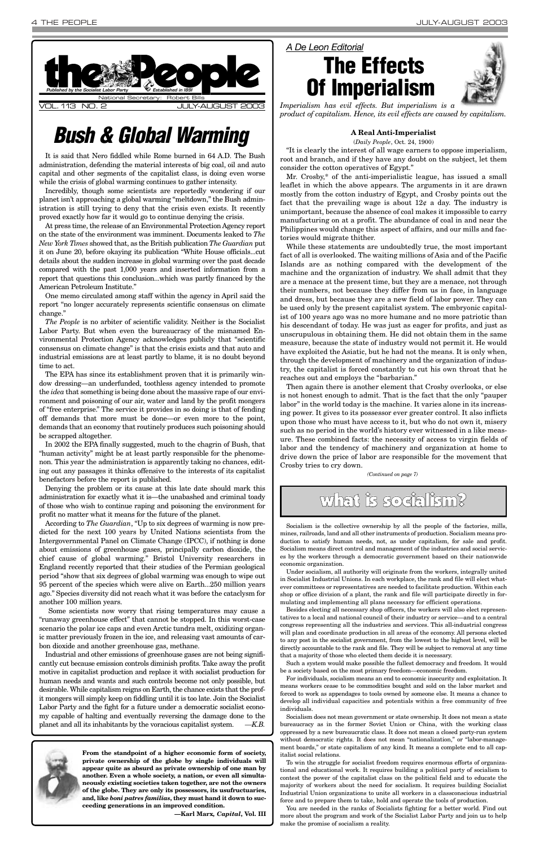It is said that Nero fiddled while Rome burned in 64 A.D. The Bush administration, defending the material interests of big coal, oil and auto capital and other segments of the capitalist class, is doing even worse while the crisis of global warming continues to gather intensity.

Incredibly, though some scientists are reportedly wondering if our planet isn't approaching a global warming "meltdown," the Bush administration is still trying to deny that the crisis even exists. It recently proved exactly how far it would go to continue denying the crisis.

At press time, the release of an Environmental Protection Agency report on the state of the environment was imminent. Documents leaked to *The New York Times* showed that, as the British publication *The Guardian* put it on June 20, before okaying its publication "White House officials...cut details about the sudden increase in global warming over the past decade compared with the past 1,000 years and inserted information from a report that questions this conclusion...which was partly financed by the American Petroleum Institute."

One memo circulated among staff within the agency in April said the report "no longer accurately represents scientific consensus on climate change."

*The People* is no arbiter of scientific validity. Neither is the Socialist Labor Party. But when even the bureaucracy of the misnamed Environmental Protection Agency acknowledges publicly that "scientific consensus on climate change" is that the crisis exists and that auto and industrial emissions are at least partly to blame, it is no doubt beyond time to act.

The EPA has since its establishment proven that it is primarily window dressing—an underfunded, toothless agency intended to promote the *idea* that something is being done about the massive rape of our environment and poisoning of our air, water and land by the profit mongers of "free enterprise." The service it provides in so doing is that of fending off demands that more must be done—or even more to the point, demands that an economy that routinely produces such poisoning should be scrapped altogether.

In 2002 the EPA finally suggested, much to the chagrin of Bush, that "human activity" might be at least partly responsible for the phenomenon. This year the administration is apparently taking no chances, editing out any passages it thinks offensive to the interests of its capitalist benefactors before the report is published.

Denying the problem or its cause at this late date should mark this administration for exactly what it is—the unabashed and criminal toady of those who wish to continue raping and poisoning the environment for profit no matter what it means for the future of the planet.

According to *The Guardian*, "Up to six degrees of warming is now predicted for the next 100 years by United Nations scientists from the Intergovernmental Panel on Climate Change (IPCC), if nothing is done about emissions of greenhouse gases, principally carbon dioxide, the chief cause of global warming." Bristol University researchers in England recently reported that their studies of the Permian geological period "show that six degrees of global warming was enough to wipe out 95 percent of the species which were alive on Earth...250 million years ago." Species diversity did not reach what it was before the cataclysm for another 100 million years.

<span id="page-3-0"></span>

Some scientists now worry that rising temperatures may cause a "runaway greenhouse effect" that cannot be stopped. In this worst-case scenario the polar ice caps and even Arctic tundra melt, oxidizing organic matter previously frozen in the ice, and releasing vast amounts of carbon dioxide and another greenhouse gas, methane.

Industrial and other emissions of greenhouse gases are not being significantly cut because emission controls diminish profits. Take away the profit motive in capitalist production and replace it with socialist production for human needs and wants and such controls become not only possible, but desirable. While capitalism reigns on Earth, the chance exists that the profit mongers will simply keep on fiddling until it is too late. Join the Socialist Labor Party and the fight for a future under a democratic socialist economy capable of halting and eventually reversing the damage done to the planet and all its inhabitants by the voracious capitalist system. *—K.B.*



#### **A Real Anti-Imperialist**

(*Daily People*, Oct. 24, 1900)

"It is clearly the interest of all wage earners to oppose imperialism, root and branch, and if they have any doubt on the subject, let them consider the cotton operatives of Egypt."

Mr. Crosby,\* of the anti-imperialistic league, has issued a small leaflet in which the above appears. The arguments in it are drawn mostly from the cotton industry of Egypt, and Crosby points out the fact that the prevailing wage is about  $12\ell$  a day. The industry is unimportant, because the absence of coal makes it impossible to carry manufacturing on at a profit. The abundance of coal in and near the Philippines would change this aspect of affairs, and our mills and factories would migrate thither.

While these statements are undoubtedly true, the most important fact of all is overlooked. The waiting millions of Asia and of the Pacific Islands are as nothing compared with the development of the machine and the organization of industry. We shall admit that they are a menace at the present time, but they are a menace, not through their numbers, not because they differ from us in face, in language and dress, but because they are a new field of labor power. They can be used only by the present capitalist system. The embryonic capitalist of 100 years ago was no more humane and no more patriotic than his descendant of today. He was just as eager for profits, and just as unscrupulous in obtaining them. He did not obtain them in the same measure, because the state of industry would not permit it. He would have exploited the Asiatic, but he had not the means. It is only when, through the development of machinery and the organization of industry, the capitalist is forced constantly to cut his own throat that he reaches out and employs the "barbarian."

Then again there is another element that Crosby overlooks, or else is not honest enough to admit. That is the fact that the only "pauper labor" in the world today is the machine. It varies alone in its increasing power. It gives to its possessor ever greater control. It also inflicts upon those who must have access to it, but who do not own it, misery such as no period in the world's history ever witnessed in a like measure. These combined facts: the necessity of access to virgin fields of labor and the tendency of machinery and organization at home to drive down the price of labor are responsible for the movement that Crosby tries to cry down.

### *Bush & Global Warming*





*Imperialism has evil effects. But imperialism is a product of capitalism. Hence, its evil effects are caused by capitalism.* 

Socialism is the collective ownership by all the people of the factories, mills, mines, railroads, land and all other instruments of production. Socialism means production to satisfy human needs, not, as under capitalism, for sale and profit. Socialism means direct control and management of the industries and social services by the workers through a democratic government based on their nationwide economic organization.

Under socialism, all authority will originate from the workers, integrally united in Socialist Industrial Unions. In each workplace, the rank and file will elect whatever committees or representatives are needed to facilitate production. Within each shop or office division of a plant, the rank and file will participate directly in formulating and implementing all plans necessary for efficient operations.

Besides electing all necessary shop officers, the workers will also elect representatives to a local and national council of their industry or service—and to a central

congress representing all the industries and services. This all-industrial congress will plan and coordinate production in all areas of the economy. All persons elected to any post in the socialist government, from the lowest to the highest level, will be directly accountable to the rank and file. They will be subject to removal at any time that a majority of those who elected them decide it is necessary.

Such a system would make possible the fullest democracy and freedom. It would be a society based on the most primary freedom—economic freedom.

For individuals, socialism means an end to economic insecurity and exploitation. It means workers cease to be commodities bought and sold on the labor market and forced to work as appendages to tools owned by someone else. It means a chance to develop all individual capacities and potentials within a free community of free individuals.

Socialism does not mean government or state ownership. It does not mean a state bureaucracy as in the former Soviet Union or China, with the working class oppressed by a new bureaucratic class. It does not mean a closed party-run system without democratic rights. It does not mean "nationalization," or "labor-management boards," or state capitalism of any kind. It means a complete end to all capitalist social relations.

To win the struggle for socialist freedom requires enormous efforts of organizational and educational work. It requires building a political party of socialism to contest the power of the capitalist class on the political field and to educate the majority of workers about the need for socialism. It requires building Socialist Industrial Union organizations to unite all workers in a classconscious industrial force and to prepare them to take, hold and operate the tools of production.

You are needed in the ranks of Socialists fighting for a better world. Find out more about the program and work of the Socialist Labor Party and join us to help make the promise of socialism a reality.

*(Continued on page 7)*

### what is socialism?

**From the standpoint of a higher economic form of society, private ownership of the globe by single individuals will appear quite as absurd as private ownership of one man by another. Even a whole society, a nation, or even all simultaneously existing societies taken together, are not the owners of the globe. They are only its possessors, its usufructuaries, and, like** *boni patres familias***, they must hand it down to succeeding generations in an improved condition.**

*—***Karl Marx***, Capital***, Vol. III**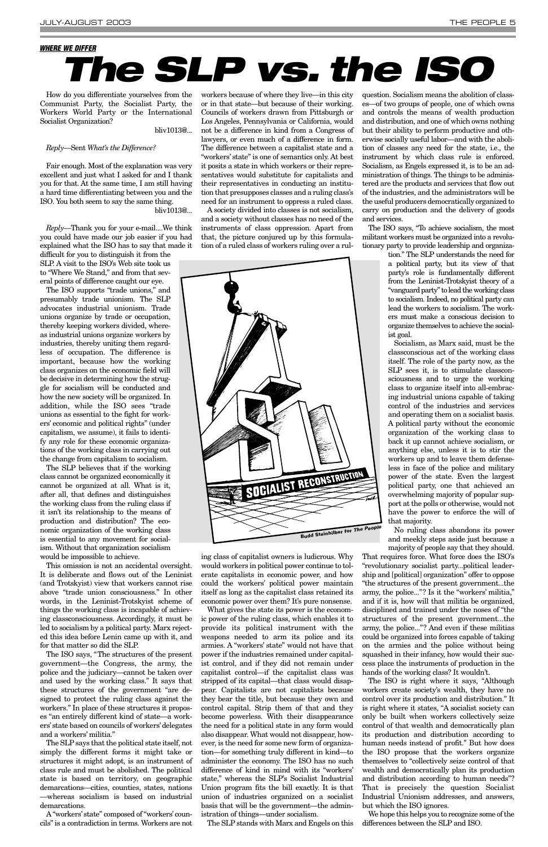How do you differentiate yourselves from the Communist Party, the Socialist Party, the Workers World Party or the International Socialist Organization?

bliv1013@...

### *Reply*—Sent *What's the Difference?*

Fair enough. Most of the explanation was very excellent and just what I asked for and I thank you for that. At the same time, I am still having a hard time differentiating between you and the ISO. You both seem to say the same thing. bliv1013@...

*Reply*—Thank you for your e-mail....We think you could have made our job easier if you had explained what the ISO has to say that made it difficult for you to distinguish it from the SLP. A visit to the ISO's Web site took us to "Where We Stand," and from that several points of difference caught our eye.

The ISO supports "trade unions," and presumably trade unionism. The SLP advocates industrial unionism. Trade unions organize by trade or occupation, thereby keeping workers divided, whereas industrial unions organize workers by industries, thereby uniting them regardless of occupation. The difference is important, because how the working class organizes on the economic field will be decisive in determining how the struggle for socialism will be conducted and how the new society will be organized. In addition, while the ISO sees "trade unions as essential to the fight for workers' economic and political rights" (under capitalism, we assume), it fails to identify any role for these economic organizations of the working class in carrying out the change from capitalism to socialism.

The SLP believes that if the working class cannot be organized economically it cannot be organized at all. What is it, after all, that defines and distinguishes the working class from the ruling class if it isn't its relationship to the means of production and distribution? The economic organization of the working class is essential to any movement for socialism. Without that organization socialism would be impossible to achieve.

This omission is not an accidental oversight. It is deliberate and flows out of the Leninist (and Trotskyist) view that workers cannot rise above "trade union consciousness." In other words, in the Leninist-Trotskyist scheme of things the working class is incapable of achieving classconsciousness. Accordingly, it must be

led to socialism by a political party. Marx rejected this idea before Lenin came up with it, and for that matter so did the SLP.

The ISO says, "The structures of the present government—the Congress, the army, the police and the judiciary—cannot be taken over and used by the working class." It says that these structures of the government "are designed to protect the ruling class against the workers." In place of these structures it proposes "an entirely different kind of state—a workers'state based on councils of workers'delegates and a workers' militia."

The SLP says that the political state itself, not simply the different forms it might take or structures it might adopt, is an instrument of class rule and must be abolished. The political state is based on territory, on geographic demarcations—cities, counties, states, nations —whereas socialism is based on industrial demarcations.

A "workers' state" composed of "workers' councils" is a contradiction in terms. Workers are not workers because of where they live—in this city or in that state—but because of their working. Councils of workers drawn from Pittsburgh or Los Angeles, Pennsylvania or California, would not be a difference in kind from a Congress of lawyers, or even much of a difference in form. The difference between a capitalist state and a "workers' state" is one of semantics only. At best it posits a state in which workers or their representatives would substitute for capitalists and their representatives in conducting an institution that presupposes classes and a ruling class's need for an instrument to oppress a ruled class.

A society divided into classes is not socialism, and a society without classes has no need of the instruments of class oppression. Apart from that, the picture conjured up by this formulation of a ruled class of workers ruling over a rul-

ing class of capitalist owners is ludicrous. Why would workers in political power continue to tolerate capitalists in economic power, and how could the workers' political power maintain itself as long as the capitalist class retained its economic power over them? It's pure nonsense.

What gives the state its power is the economic power of the ruling class, which enables it to provide its political instrument with the weapons needed to arm its police and its armies. A "workers' state" would not have that power if the industries remained under capitalist control, and if they did not remain under capitalist control—if the capitalist class was stripped of its capital—that class would disappear. Capitalists are not capitalists because they bear the title, but because they own and control capital. Strip them of that and they become powerless. With their disappearance the need for a political state in any form would also disappear. What would not disappear, however, is the need for some new form of organization—for something truly different in kind—to administer the economy. The ISO has no such difference of kind in mind with its "workers' state," whereas the SLP's Socialist Industrial Union program fits the bill exactly. It is that union of industries organized on a socialist basis that will be the government—the administration of things—under socialism.

The SLP stands with Marx and Engels on this

question. Socialism means the abolition of classes—of two groups of people, one of which owns and controls the means of wealth production and distribution, and one of which owns nothing but their ability to perform productive and otherwise socially useful labor—and with the abolition of classes any need for the state, i.e., the instrument by which class rule is enforced. Socialism, as Engels expressed it, is to be an administration of things. The things to be administered are the products and services that flow out of the industries, and the administrators will be the useful producers democratically organized to carry on production and the delivery of goods and services.

The ISO says, "To achieve socialism, the most militant workers must be organized into a revolutionary party to provide leadership and organiza-

> tion." The SLP understands the need for a political party, but its view of that party's role is fundamentally different from the Leninist-Trotskyist theory of a "vanguard party" to lead the working class to socialism. Indeed, no political party can lead the workers to socialism. The workers must make a conscious decision to organize themselves to achieve the socialist goal.

> Socialism, as Marx said, must be the classconscious act of the working class itself. The role of the party now, as the SLP sees it, is to stimulate classconsciousness and to urge the working class to organize itself into all-embracing industrial unions capable of taking control of the industries and services and operating them on a socialist basis. A political party without the economic organization of the working class to back it up cannot achieve socialism, or anything else, unless it is to stir the workers up and to leave them defenseless in face of the police and military power of the state. Even the largest political party, one that achieved an overwhelming majority of popular support at the polls or otherwise, would not have the power to enforce the will of that majority.

> No ruling class abandons its power and meekly steps aside just because a majority of people say that they should.

That requires force. What force does the ISO's "revolutionary socialist party...political leadership and [political] organization" offer to oppose "the structures of the present government...the army, the police..."? Is it the "workers' militia," and if it is, how will that militia be organized, disciplined and trained under the noses of "the structures of the present government...the army, the police..."? And even if these militias could be organized into forces capable of taking on the armies and the police without being squashed in their infancy, how would their success place the instruments of production in the hands of the working class? It wouldn't. The ISO is right where it says, "Although workers create society's wealth, they have no control over its production and distribution." It is right where it states, "A socialist society can only be built when workers collectively seize control of that wealth and democratically plan its production and distribution according to human needs instead of profit." But how does the ISO propose that the workers organize themselves to "collectively seize control of that wealth and democratically plan its production and distribution according to human needs"? That is precisely the question Socialist Industrial Unionism addresses, and answers, but which the ISO ignores.

We hope this helps you to recognize some of the differences between the SLP and ISO.

# *The SLP vs. the ISO*

### <span id="page-4-0"></span>*WHERE WE DIFFER*

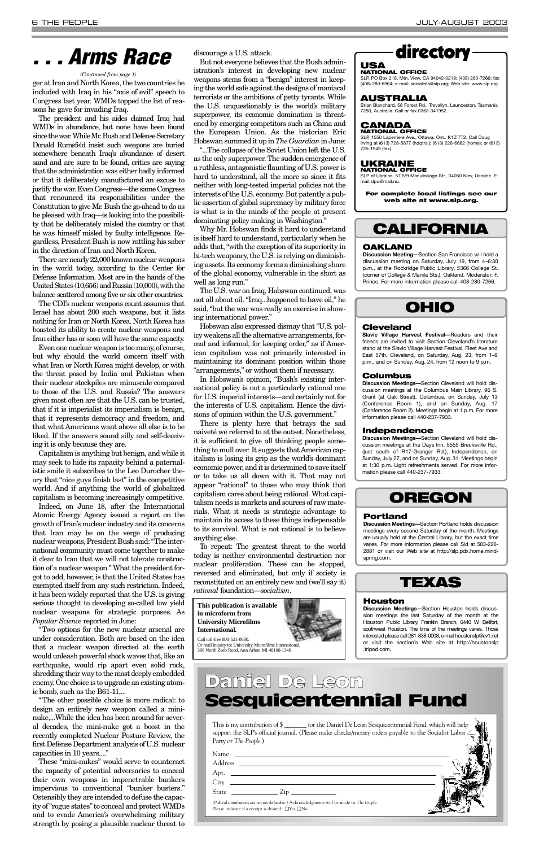ger at Iran and North Korea, the two countries he included with Iraq in his "axis of evil" speech to Congress last year. WMDs topped the list of reasons he gave for invading Iraq.

The president and his aides claimed Iraq had WMDs in abundance, but none have been found since the war. While Mr. Bush and Defense Secretary Donald Rumsfeld insist such weapons are buried somewhere beneath Iraq's abundance of desert sand and are sure to be found, critics are saying that the administration was either badly informed or that it deliberately manufactured an excuse to justify the war. Even Congress—the same Congress that renounced its responsibilities under the Constitution to give Mr. Bush the go-ahead to do as he pleased with Iraq—is looking into the possibility that he deliberately misled the country or that he was himself misled by faulty intelligence. Regardless, President Bush is now rattling his saber in the direction of Iran and North Korea.

There are nearly 22,000 known nuclear weapons in the world today, according to the Center for Defense Information. Most are in the hands of the United States (10,656) and Russia (10,000), with the balance scattered among five or six other countries.

The CDI's nuclear weapons count assumes that Israel has about 200 such weapons, but it lists nothing for Iran or North Korea. North Korea has boasted its ability to create nuclear weapons and Iran either has or soon will have the same capacity.

Even one nuclear weapon is too many, of course, but why should the world concern itself with what Iran or North Korea might develop, or with the threat posed by India and Pakistan when their nuclear stockpiles are minuscule compared to those of the U.S. and Russia? The answers given most often are that the U.S. can be trusted, that if it is imperialist its imperialism is benign, that it represents democracy and freedom, and that what Americans want above all else is to be liked. If the answers sound silly and self-deceiving it is only because they are.

Capitalism is anything but benign, and while it may seek to hide its rapacity behind a paternalistic smile it subscribes to the Leo Durocher theory that "nice guys finish last" in the competitive world. And if anything the world of globalized capitalism is becoming increasingly competitive.

Indeed, on June 18, after the International Atomic Energy Agency issued a report on the growth of Iran's nuclear industry and its concerns that Iran may be on the verge of producing nuclear weapons, President Bush said: "The international community must come together to make it clear to Iran that we will not tolerate construction of a nuclear weapon." What the president forgot to add, however, is that the United States has exempted itself from any such restriction. Indeed, it has been widely reported that the U.S. is giving serious thought to developing so-called low yield nuclear weapons for strategic purposes. As *Popular Science* reported in June:

"Two options for the new nuclear arsenal are under consideration. Both are based on the idea that a nuclear weapon directed at the earth would unleash powerful shock waves that, like an earthquake, would rip apart even solid rock, shredding their way to the most deeply embedded enemy. One choice is to upgrade an existing atomic bomb, such as the B61-11,...

"The other possible choice is more radical: to design an entirely new weapon called a mininuke,...While the idea has been around for several decades, the mini-nuke got a boost in the recently completed Nuclear Posture Review, the first Defense Department analysis of U.S. nuclear capacities in 10 years...."

These "mini-nukes" would serve to counteract the capacity of potential adversaries to conceal their own weapons in impenetrable bunkers impervious to conventional "bunker busters." Ostensibly they are intended to defuse the capacity of "rogue states" to conceal and protect WMDs and to evade America's overwhelming military strength by posing a plausible nuclear threat to discourage a U.S. attack.

But not everyone believes that the Bush administration's interest in developing new nuclear weapons stems from a "benign" interest in keeping the world safe against the designs of maniacal terrorists or the ambitions of petty tyrants. While the U.S. unquestionably is the world's military superpower, its economic domination is threatened by emerging competitors such as China and the European Union. As the historian Eric Hobswan summed it up in *The Guardian*in June:

"...The collapse of the Soviet Union left the U.S. as the only superpower. The sudden emergence of a ruthless, antagonistic flaunting of U.S. power is hard to understand, all the more so since it fits neither with long-tested imperial policies not the interests of the U.S. economy. But patently a public assertion of global supremacy by military force is what is in the minds of the people at present dominating policy making in Washington."

> **Discussion Meetings—**Section Houston holds discussion meetings the last Saturday of the month at the Houston Public LIbrary, Franklin Branch, 6440 W. E

Why Mr. Hobswan finds it hard to understand is itself hard to understand, particularly when he adds that, "with the exception of its superiority in hi-tech weaponry, the U.S. is relying on diminishing assets. Its economy forms a diminishing share of the global economy, vulnerable in the short as well as long run."

The U.S. war on Iraq, Hobswan continued, was not all about oil. "Iraq...happened to have oil," he said, "but the war was really an exercise in showing international power."

Hobswan also expressed dismay that "U.S. policy weakens all the alternative arrangements, formal and informal, for keeping order," as if American capitalism was not primarily interested in maintaining its dominant position within those "arrangements," or without them if necessary.

In Hobswan's opinion, "Bush's existing international policy is not a particularly rational one for U.S. imperial interests—and certainly not for the interests of U.S. capitalism. Hence the divisions of opinion within the U.S. government."

There is plenty here that betrays the sad naiveté we referred to at the outset. Nonetheless, it is sufficient to give all thinking people something to mull over. It suggests that American capitalism is losing its grip as the world's dominant economic power, and it is determined to save itself or to take us all down with it. That may not appear "rational" to those who may think that capitalism cares about being rational. What capitalism needs is markets and sources of raw materials. What it needs is strategic advantage to maintain its access to these things indispensable to its survival. What is not rational is to believe anything else.

To repeat: The greatest threat to the world today is neither environmental destruction nor nuclear proliferation. These can be stopped, reversed and eliminated, but only if society is reconstituted on an entirely new and (we'll say it) *rational* foundation—*socialism*.

### *. . . Arms Race*

### directory

#### **USA NATIONAL OFFICE**

SLP, PO Box 218, Mtn. View, CA 94042-0218; (408) 280-7266; fax (408) 280-6964; e-mail: socialists@slp.org; Web site: www.slp.org.

### **AUSTRALIA**

Brian Blanchard, 58 Forest Rd., Trevallyn, Launceston, Tasmania 7250, Australia. Call or fax 0363-341952.

### **CANADA NATIONAL OFFICE**

SLP, 1550 Laperriere Ave., Ottawa, Ont., K1Z 7T2. Call Doug Irving at (613) 728-5877 (hdqtrs.); (613) 226-6682 (home); or (613) 725-1949 (fax).

#### **UKRAINE NATIONAL OFFICE**

SLP of Ukraine, 57,5/9 Manuilskogo Str., 04050 Kiev, Ukraine. Email:slpu@mail.nu.

**For complete local listings see our web site at www.slp.org.** 

| This is my contribution of $\frac{1}{2}$ for the Daniel De Leon Sesquicentennial Fund, which will help<br>support the SLP's official journal. (Please make checks/money orders payable to the Socialist Labor $\leq$<br>Party or The People.)                                                                                                                      |  |
|--------------------------------------------------------------------------------------------------------------------------------------------------------------------------------------------------------------------------------------------------------------------------------------------------------------------------------------------------------------------|--|
| Address _______                                                                                                                                                                                                                                                                                                                                                    |  |
|                                                                                                                                                                                                                                                                                                                                                                    |  |
| State $\frac{1}{\sqrt{2}}$ $\frac{1}{\sqrt{2}}$ $\frac{1}{\sqrt{2}}$ $\frac{1}{\sqrt{2}}$ $\frac{1}{\sqrt{2}}$ $\frac{1}{\sqrt{2}}$ $\frac{1}{\sqrt{2}}$ $\frac{1}{\sqrt{2}}$ $\frac{1}{\sqrt{2}}$ $\frac{1}{\sqrt{2}}$ $\frac{1}{\sqrt{2}}$ $\frac{1}{\sqrt{2}}$ $\frac{1}{\sqrt{2}}$ $\frac{1}{\sqrt{2}}$ $\frac{1}{\sqrt{2}}$ $\frac{1}{\sqrt{2}}$ $\frac{1}{\$ |  |
| (Political contributions are not tax deductible.) Acknowledgments will be made in The People.<br>Please indicate if a receipt is desired: $\Box$ Yes $\Box$ No                                                                                                                                                                                                     |  |

### Daniel De Leon Sesquicentennial Fund

#### *(Continued from page 1)*

**This publication is available in microform from University Microfilms International.**



Call toll-free 800-521-0600. Or mail inquiry to: University Microfilms International, 300 North Zeeb Road, Ann Arbor, MI 48106-1346

### **CALIFORNIA**

### **OAKLAND**

**Discussion Meeting—**Section San Francisco will hold a discussion meeting on Saturday, July 19, from 4–6:30 p.m., at the Rockridge Public Library, 5366 College St. (corner of College & Manila Sts.), Oakland. Moderator: F. Prince. For more information please call 408-280-7266.

### **OHIO**

#### **Cleveland**

**Slavic Village Harvest Festival—**Readers and their friends are invited to visit Section Cleveland's literature stand at the Slavic Village Harvest Festival, Fleet Ave and East 57th, Cleveland, on Saturday, Aug. 23, from 1–9 p.m., and on Sunday, Aug. 24, from 12 noon to 9 p.m.

#### **Columbus**

**Discussion Meetings—**Section Cleveland will hold discussion meetings at the Columbus Main Library, 96 S. Grant (at Oak Street), Columbus, on Sunday, July 13 (Conference Room 1), and on Sunday, Aug. 17 (Conference Room 2). Meetings begin at 1 p.m. For more information please call 440-237-7933.

#### **Independence**

**Discussion Meetings—**Section Cleveland will hold discussion meetings at the Days Inn, 5555 Brecksville Rd., (just south of R17-Granger Rd.), Independence, on Sunday, July 27, and on Sunday, Aug. 31. Meetings begin at 1:30 p.m. Light refreshments served. For more information please call 440-237-7933.

### **OREGON**

### **Portland**

**Discussion Meetings—**Section Portland holds discussion meetings every second Saturday of the month. Meetings are usually held at the Central Library, but the exact time varies. For more information please call Sid at 503-226- 2881 or visit our Web site at http://slp.pdx.home.mindspring.com.



### **Houston**

southwest Houston. The time of the meetings varies. Those interested please call 281-838-0008, e-mail houstonslp@ev1.net or visit the section's Web site at http://houstonslp .tripod.com.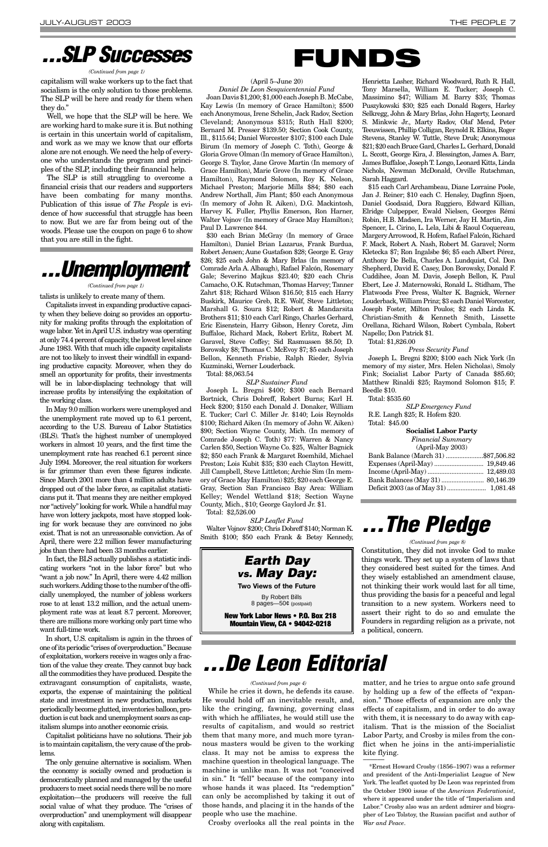#### (April 5–June 20)

*Daniel De Leon Sesquicentennial Fund* Joan Davis \$1,200; \$1,000 each Joseph B. McCabe, Kay Lewis (In memory of Grace Hamilton); \$500 each Anonymous, Irene Schelin, Jack Radov, Section Cleveland; Anonymous \$315; Ruth Hall \$200; Bernard M. Presser \$139.50; Section Cook County, Ill., \$115.64; Daniel Worcester \$107; \$100 each Dale Birum (In memory of Joseph C. Toth), George & Gloria Grove Olman (In memory of Grace Hamilton), George S. Taylor, Jane Grove Martin (In memory of Grace Hamilton), Marie Grove (In memory of Grace Hamilton), Raymond Solomon, Roy K. Nelson, Michael Preston; Marjorie Mills \$84; \$80 each Andrew Northall, Jim Plant; \$50 each Anonymous (In memory of John R. Aiken), D.G. Mackintosh, Harvey K. Fuller, Phyllis Emerson, Ron Harner, Walter Vojnov (In memory of Grace May Hamilton); Paul D. Lawrence \$44.

\$30 each Brian McGray (In memory of Grace Hamilton), Daniel Brian Lazarus, Frank Burdua, Robert Jensen; Aune Gustafson \$28; George E. Gray \$26; \$25 each John & Mary Brlas (In memory of Comrade Arla A. Albaugh), Rafael Falcón, Rosemary Gale; Severino Majkus \$23.40; \$20 each Chris Camacho, O.K. Rutschman, Thomas Harvey; Tanner Zahrt \$18; Richard Wilson \$16.50; \$15 each Harry Buskirk, Maurice Greb, R.E. Wolf, Steve Littleton; Marshall G. Soura \$12; Robert & Mandarsita Brothers \$11; \$10 each Carl Ringo, Charles Gerhard, Eric Eisenstein, Harry Gibson, Henry Coretz, Jim Buffaloe, Richard Mack, Robert Erlitz, Robert M. Garavel, Steve Coffey; Sid Rasmussen \$8.50; D. Borowsky \$8; Thomas C. McEvoy \$7; \$5 each Joseph Bellon, Kenneth Frisbie, Ralph Rieder, Sylvia Kuzminski, Werner Louderback.

Total: \$8,063.54

*SLP Sustainer Fund*

Joseph L. Bregni \$400; \$300 each Bernard Bortnick, Chris Dobreff, Robert Burns; Karl H. Heck \$200; \$150 each Donald J. Donaker, William E. Tucker; Carl C. Miller Jr. \$140; Lois Reynolds \$100; Richard Aiken (In memory of John W. Aiken) \$90; Section Wayne County, Mich. (In memory of Comrade Joseph C. Toth) \$77: Warren & Nancy Carlen \$50, Section Wayne Co. \$25, Walter Bagnick \$2; \$50 each Frank & Margaret Roemhild, Michael Preston; Lois Kubit \$35; \$30 each Clayton Hewitt, Jill Campbell, Steve Littleton; Archie Sim (In memory of Grace May Hamilton) \$25; \$20 each George E. Gray, Section San Francisco Bay Area: William Kelley; Wendel Wettland \$18; Section Wayne County, Mich., \$10; George Gaylord Jr. \$1.

Total: \$2,526.00

*SLP Leaflet Fund* Walter Vojnov \$200; Chris Dobreff \$140; Norman K. Smith \$100; \$50 each Frank & Betsy Kennedy, Henrietta Lasher, Richard Woodward, Ruth R. Hall, Tony Marsella, William E. Tucker; Joseph C. Massimino \$47; William M. Barry \$35; Thomas Puszykowski \$30; \$25 each Donald Rogers, Harley Selkregg, John & Mary Brlas, John Hagerty, Leonard S. Minkwic Jr., Marty Radov, Olaf Mend, Peter Teeuwissen, Phillip Colligan, Reynold R. Elkins, Roger Stevens, Stanley W. Tuttle, Steve Druk; Anonymous \$21; \$20 each Bruce Gard, Charles L. Gerhard, Donald L. Sccott, George Kira, J. Blessington, James A. Barr, James Buffaloe, Joseph T. Longo, Leonard Kitts, Linda Nichols, Newman McDonald, Orville Rutschman, Sarah Haggard.

\$15 each Carl Archambeau, Diane Lorraine Poole, Jan J. Reiner; \$10 each C. Hensley, Dagfinn Sjoen, Daniel Goodsaid, Dora Ruggiero, Edward Killian, Elridge Culpepper, Ewald Nielsen, Georges Rémi Robin, H.B. Madsen, Ira Werner, Jay H. Martin, Jim Spencer, L. Cirino, L. Lela, Libi & Raoul Coquereau, Margery Arrowood, R. Hofem, Rafael Falcón, Richard F. Mack, Robert A. Nash, Robert M. Garavel; Norm Kletecka \$7; Ron Ingalsbe \$6; \$5 each Albert Pérez, Anthony De Bella, Charles A. Lundquist, Col. Don Shepherd, David E. Casey, Don Borowsky, Donald F. Cuddihee, Joan M. Davis, Joseph Bellon, K. Paul Ebert, Lee J. Maternowski, Ronald L. Stidham, The Flatwoods Free Press, Walter K. Bagnick, Werner Louderback, William Prinz; \$3 each Daniel Worcester, Joseph Foster, Milton Poulos; \$2 each Linda K. Christian-Smith & Kenneth Smith, Lissette Orellana, Richard Wilson, Robert Cymbala, Robert Napello; Don Patrick \$1.

Total: \$1,826.00

*Press Security Fund*

Joseph L. Bregni \$200; \$100 each Nick York (In memory of my sister, Mrs. Helen Nicholas), Smoly Fink; Socialist Labor Party of Canada \$85.60; Matthew Rinaldi \$25; Raymond Solomon \$15; F. Beedle \$10.

Total: \$535.60

*SLP Emergency Fund* R.E. Langh \$25; R. Hofem \$20. Total: \$45.00

#### **Socialist Labor Party**

| <b>Financial Summary</b>            |  |
|-------------------------------------|--|
| $(Apri-May 2003)$                   |  |
| Bank Balance (March 31) \$87,506.82 |  |
|                                     |  |
|                                     |  |
|                                     |  |
|                                     |  |
|                                     |  |

Constitution, they did not invoke God to make things work. They set up a system of laws that they considered best suited for the times. And they wisely established an amendment clause, not thinking their work would last for all time, thus providing the basis for a peaceful and legal transition to a new system. Workers need to assert their right to do so and emulate the Founders in regarding religion as a private, not a political, concern.

capitalism will wake workers up to the fact that socialism is the only solution to those problems. The SLP will be here and ready for them when they do."

Well, we hope that the SLP will be here. We are working hard to make sure it is. But nothing is certain in this uncertain world of capitalism, and work as we may we know that our efforts alone are not enough. We need the help of everyone who understands the program and principles of the SLP, including their financial help.

The SLP is still struggling to overcome a financial crisis that our readers and supporters have been combating for many months. Publication of this issue of *The People* is evidence of how successful that struggle has been to now. But we are far from being out of the woods. Please use the coupon on page 6 to show that you are still in the fight.

While he cries it down, he defends its cause. He would hold off an inevitable result, and, like the cringing, fawning, governing class with which he affiliates, he would still use the results of capitalism, and would so restrict them that many more, and much more tyrannous masters would be given to the working class. It may not be amiss to express the machine question in theological language. The machine is unlike man. It was not "conceived in sin." It "fell" because of the company into whose hands it was placed. Its "redemption" can only be accomplished by taking it out of those hands, and placing it in the hands of the people who use the machine.

Crosby overlooks all the real points in the

matter, and he tries to argue onto safe ground by holding up a few of the effects of "expansion." Those effects of expansion are only the effects of capitalism, and in order to do away with them, it is necessary to do away with capitalism. That is the mission of the Socialist Labor Party, and Crosby is miles from the conflict when he joins in the anti-imperialistic kite flying. \_\_\_\_\_\_

\*Ernest Howard Crosby (1856–1907) was a reformer and president of the Anti-Imperialist League of New York. The leaflet quoted by De Leon was reprinted from the October 1900 issue of the *American Federationist*, where it appeared under the title of "Imperialism and Labor." Crosby also was an ardent admirer and biographer of Leo Tolstoy, the Russian pacifist and author of *War and Peace*.

## *...De Leon Editorial*

### *...SLP Successes*

#### *(Continued from page 1)*

# *...Unemployment*

*(Continued from page 1)*

talists is unlikely to create many of them.

Capitalists invest in expanding productive capacity when they believe doing so provides an opportunity for making profits through the exploitation of wage labor. Yet in April U.S. industry was operating at only 74.4 percent of capacity, the lowest level since June 1983. With that much idle capacity capitalists are not too likely to invest their windfall in expanding productive capacity. Moreover, when they do smell an opportunity for profits, their investments will be in labor-displacing technology that will increase profits by intensifying the exploitation of the working class.

In May 9.0 million workers were unemployed and the unemployment rate moved up to 6.1 percent, according to the U.S. Bureau of Labor Statistics (BLS). That's the highest number of unemployed workers in almost 10 years, and the first time the unemployment rate has reached 6.1 percent since July 1994. Moreover, the real situation for workers is far grimmer than even these figures indicate. Since March 2001 more than 4 million adults have dropped out of the labor force, as capitalist statisticians put it. That means they are neither employed nor "actively" looking for work. While a handful may have won lottery jackpots, most have stopped looking for work because they are convinced no jobs exist. That is not an unreasonable conviction. As of April, there were 2.2 million fewer manufacturing jobs than there had been 33 months earlier.

In fact, the BLS actually publishes a statistic indicating workers "not in the labor force" but who "want a job now." In April, there were 4.42 million such workers. Adding those to the number of the officially unemployed, the number of jobless workers rose to at least 13.2 million, and the actual unemployment rate was at least 8.7 percent. Moreover, there are millions more working only part time who

want full-time work.

In short, U.S. capitalism is again in the throes of one of its periodic "crises of overproduction." Because of exploitation, workers receive in wages only a fraction of the value they create. They cannot buy back all the commodities they have produced. Despite the extravagant consumption of capitalists, waste, exports, the expense of maintaining the political state and investment in new production, markets periodically become glutted, inventories balloon, production is cut back and unemployment soars as capitalism slumps into another economic crisis.

Capitalist politicians have no solutions. Their job is to maintain capitalism, the very cause of the problems.

The only genuine alternative is socialism. When the economy is socially owned and production is democratically planned and managed by the useful producers to meet social needs there will be no more exploitation—the producers will receive the full social value of what they produce. The "crises of overproduction" and unemployment will disappear along with capitalism.

#### *(Continued from page 4)*



*(Continued from page 8)*





**Mountain View, CA • 94042-0218**